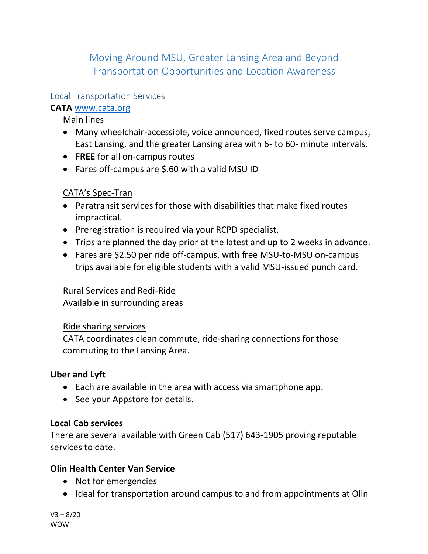Moving Around MSU, Greater Lansing Area and Beyond Transportation Opportunities and Location Awareness

# Local Transportation Services

# **CATA** [www.cata.org](http://www.cata.org/)

Main lines

- Many wheelchair-accessible, voice announced, fixed routes serve campus, East Lansing, and the greater Lansing area with 6- to 60- minute intervals.
- **FREE** for all on-campus routes
- Fares off-campus are \$.60 with a valid MSU ID

# CATA's Spec-Tran

- Paratransit services for those with disabilities that make fixed routes impractical.
- Preregistration is required via your RCPD specialist.
- Trips are planned the day prior at the latest and up to 2 weeks in advance.
- Fares are \$2.50 per ride off-campus, with free MSU-to-MSU on-campus trips available for eligible students with a valid MSU-issued punch card.

# Rural Services and Redi-Ride

Available in surrounding areas

## Ride sharing services

CATA coordinates clean commute, ride-sharing connections for those commuting to the Lansing Area.

## **Uber and Lyft**

- Each are available in the area with access via smartphone app.
- See your Appstore for details.

## **Local Cab services**

There are several available with Green Cab (517) 643-1905 proving reputable services to date.

## **Olin Health Center Van Service**

- Not for emergencies
- Ideal for transportation around campus to and from appointments at Olin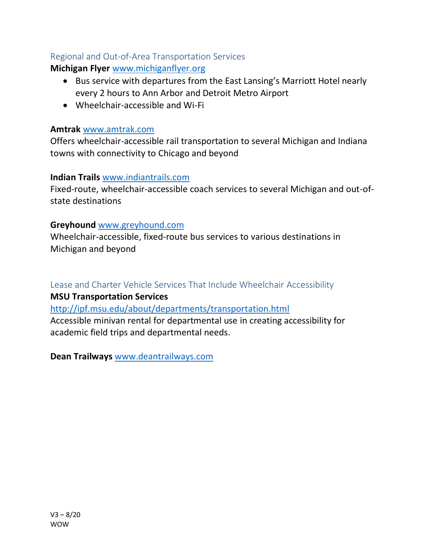# Regional and Out-of-Area Transportation Services

**Michigan Flyer** [www.michiganflyer.org](http://www.michiganflyer.org/)

- Bus service with departures from the East Lansing's Marriott Hotel nearly every 2 hours to Ann Arbor and Detroit Metro Airport
- Wheelchair-accessible and Wi-Fi

#### **Amtrak** [www.amtrak.com](http://www.amtrak.com/)

Offers wheelchair-accessible rail transportation to several Michigan and Indiana towns with connectivity to Chicago and beyond

#### **Indian Trails** [www.indiantrails.com](http://www.indiantrails.com/)

Fixed-route, wheelchair-accessible coach services to several Michigan and out-ofstate destinations

## **Greyhound** [www.greyhound.com](http://www.greyhound.com/)

Wheelchair-accessible, fixed-route bus services to various destinations in Michigan and beyond

Lease and Charter Vehicle Services That Include Wheelchair Accessibility

## **MSU Transportation Services**

<http://ipf.msu.edu/about/departments/transportation.html>

Accessible minivan rental for departmental use in creating accessibility for academic field trips and departmental needs.

**Dean Trailways** [www.deantrailways.com](http://www.deantrailways.com/)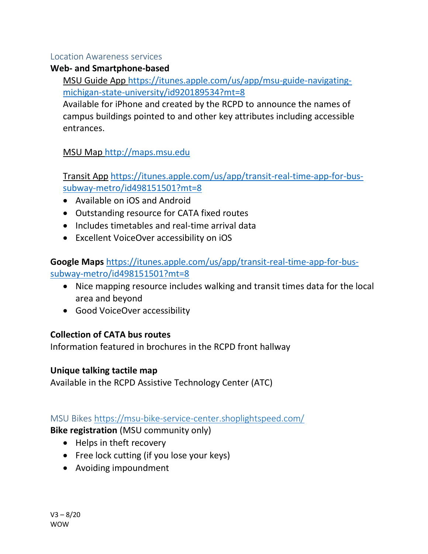#### Location Awareness services

# **Web- and Smartphone-based**

MSU Guide App [https://itunes.apple.com/us/app/msu-guide-navigating](https://itunes.apple.com/us/app/msu-guide-navigating-michigan-state-university/id920189534?mt=8)[michigan-state-university/id920189534?mt=8](https://itunes.apple.com/us/app/msu-guide-navigating-michigan-state-university/id920189534?mt=8)

Available for iPhone and created by the RCPD to announce the names of campus buildings pointed to and other key attributes including accessible entrances.

# MSU Map [http://maps.msu.edu](http://maps.msu.edu/)

Transit App [https://itunes.apple.com/us/app/transit-real-time-app-for-bus](https://itunes.apple.com/us/app/transit-real-time-app-for-bus-subway-metro/id498151501?mt=8)[subway-metro/id498151501?mt=8](https://itunes.apple.com/us/app/transit-real-time-app-for-bus-subway-metro/id498151501?mt=8)

- Available on iOS and Android
- Outstanding resource for CATA fixed routes
- Includes timetables and real-time arrival data
- Excellent VoiceOver accessibility on iOS

**Google Maps** [https://itunes.apple.com/us/app/transit-real-time-app-for-bus](https://itunes.apple.com/us/app/transit-real-time-app-for-bus-subway-metro/id498151501?mt=8)[subway-metro/id498151501?mt=8](https://itunes.apple.com/us/app/transit-real-time-app-for-bus-subway-metro/id498151501?mt=8)

- Nice mapping resource includes walking and transit times data for the local area and beyond
- Good VoiceOver accessibility

# **Collection of CATA bus routes**

Information featured in brochures in the RCPD front hallway

## **Unique talking tactile map**

Available in the RCPD Assistive Technology Center (ATC)

# MSU Bikes<https://msu-bike-service-center.shoplightspeed.com/>

**Bike registration** (MSU community only)

- Helps in theft recovery
- Free lock cutting (if you lose your keys)
- Avoiding impoundment